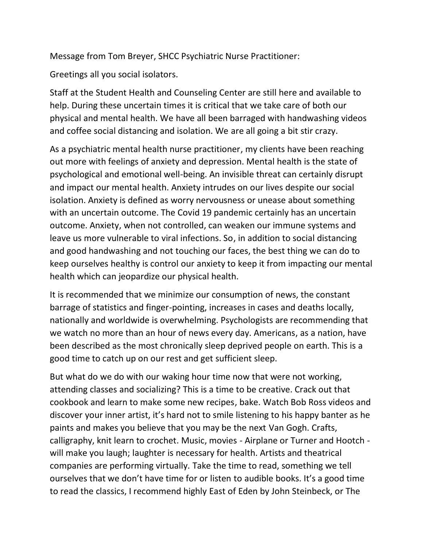Message from Tom Breyer, SHCC Psychiatric Nurse Practitioner:

Greetings all you social isolators.

Staff at the Student Health and Counseling Center are still here and available to help. During these uncertain times it is critical that we take care of both our physical and mental health. We have all been barraged with handwashing videos and coffee social distancing and isolation. We are all going a bit stir crazy.

As a psychiatric mental health nurse practitioner, my clients have been reaching out more with feelings of anxiety and depression. Mental health is the state of psychological and emotional well-being. An invisible threat can certainly disrupt and impact our mental health. Anxiety intrudes on our lives despite our social isolation. Anxiety is defined as worry nervousness or unease about something with an uncertain outcome. The Covid 19 pandemic certainly has an uncertain outcome. Anxiety, when not controlled, can weaken our immune systems and leave us more vulnerable to viral infections. So, in addition to social distancing and good handwashing and not touching our faces, the best thing we can do to keep ourselves healthy is control our anxiety to keep it from impacting our mental health which can jeopardize our physical health.

It is recommended that we minimize our consumption of news, the constant barrage of statistics and finger-pointing, increases in cases and deaths locally, nationally and worldwide is overwhelming. Psychologists are recommending that we watch no more than an hour of news every day. Americans, as a nation, have been described as the most chronically sleep deprived people on earth. This is a good time to catch up on our rest and get sufficient sleep.

But what do we do with our waking hour time now that were not working, attending classes and socializing? This is a time to be creative. Crack out that cookbook and learn to make some new recipes, bake. Watch Bob Ross videos and discover your inner artist, it's hard not to smile listening to his happy banter as he paints and makes you believe that you may be the next Van Gogh. Crafts, calligraphy, knit learn to crochet. Music, movies - Airplane or Turner and Hootch will make you laugh; laughter is necessary for health. Artists and theatrical companies are performing virtually. Take the time to read, something we tell ourselves that we don't have time for or listen to audible books. It's a good time to read the classics, I recommend highly East of Eden by John Steinbeck, or The